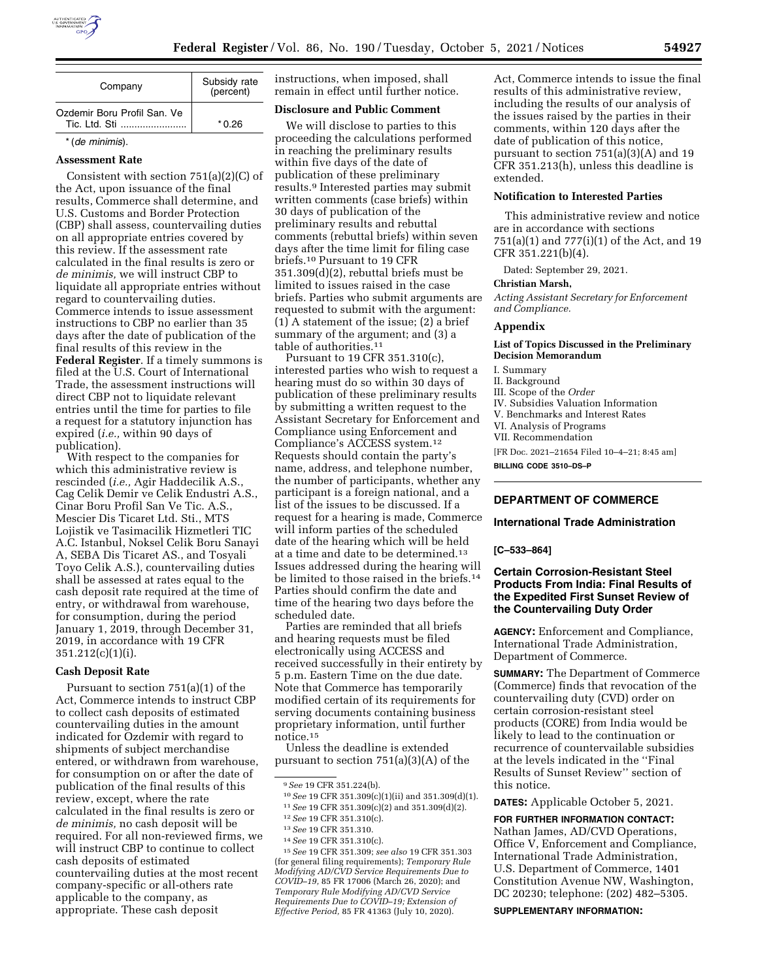

| Company                                       | Subsidy rate<br>(percent) |
|-----------------------------------------------|---------------------------|
| Ozdemir Boru Profil San. Ve<br>Tic. I td. Sti | * 0.26                    |
| * (de minimis).                               |                           |

### **Assessment Rate**

Consistent with section 751(a)(2)(C) of the Act, upon issuance of the final results, Commerce shall determine, and U.S. Customs and Border Protection (CBP) shall assess, countervailing duties on all appropriate entries covered by this review. If the assessment rate calculated in the final results is zero or *de minimis,* we will instruct CBP to liquidate all appropriate entries without regard to countervailing duties. Commerce intends to issue assessment instructions to CBP no earlier than 35 days after the date of publication of the final results of this review in the **Federal Register**. If a timely summons is filed at the U.S. Court of International Trade, the assessment instructions will direct CBP not to liquidate relevant entries until the time for parties to file a request for a statutory injunction has expired (*i.e.,* within 90 days of publication).

With respect to the companies for which this administrative review is rescinded (*i.e.,* Agir Haddecilik A.S., Cag Celik Demir ve Celik Endustri A.S., Cinar Boru Profil San Ve Tic. A.S., Mescier Dis Ticaret Ltd. Sti., MTS Lojistik ve Tasimacilik Hizmetleri TIC A.C. Istanbul, Noksel Celik Boru Sanayi A, SEBA Dis Ticaret AS., and Tosyali Toyo Celik A.S.), countervailing duties shall be assessed at rates equal to the cash deposit rate required at the time of entry, or withdrawal from warehouse, for consumption, during the period January 1, 2019, through December 31, 2019, in accordance with 19 CFR 351.212(c)(1)(i).

## **Cash Deposit Rate**

Pursuant to section 751(a)(1) of the Act, Commerce intends to instruct CBP to collect cash deposits of estimated countervailing duties in the amount indicated for Ozdemir with regard to shipments of subject merchandise entered, or withdrawn from warehouse, for consumption on or after the date of publication of the final results of this review, except, where the rate calculated in the final results is zero or *de minimis,* no cash deposit will be required. For all non-reviewed firms, we will instruct CBP to continue to collect cash deposits of estimated countervailing duties at the most recent company-specific or all-others rate applicable to the company, as appropriate. These cash deposit

instructions, when imposed, shall remain in effect until further notice.

# **Disclosure and Public Comment**

We will disclose to parties to this proceeding the calculations performed in reaching the preliminary results within five days of the date of publication of these preliminary results.9 Interested parties may submit written comments (case briefs) within 30 days of publication of the preliminary results and rebuttal comments (rebuttal briefs) within seven days after the time limit for filing case briefs.10 Pursuant to 19 CFR 351.309(d)(2), rebuttal briefs must be limited to issues raised in the case briefs. Parties who submit arguments are requested to submit with the argument: (1) A statement of the issue; (2) a brief summary of the argument; and (3) a table of authorities.<sup>11</sup>

Pursuant to 19 CFR 351.310(c), interested parties who wish to request a hearing must do so within 30 days of publication of these preliminary results by submitting a written request to the Assistant Secretary for Enforcement and Compliance using Enforcement and Compliance's ACCESS system.12 Requests should contain the party's name, address, and telephone number, the number of participants, whether any participant is a foreign national, and a list of the issues to be discussed. If a request for a hearing is made, Commerce will inform parties of the scheduled date of the hearing which will be held at a time and date to be determined.13 Issues addressed during the hearing will be limited to those raised in the briefs.<sup>14</sup> Parties should confirm the date and time of the hearing two days before the scheduled date.

Parties are reminded that all briefs and hearing requests must be filed electronically using ACCESS and received successfully in their entirety by 5 p.m. Eastern Time on the due date. Note that Commerce has temporarily modified certain of its requirements for serving documents containing business proprietary information, until further notice.15

Unless the deadline is extended pursuant to section 751(a)(3)(A) of the

10*See* 19 CFR 351.309(c)(1)(ii) and 351.309(d)(1).

11*See* 19 CFR 351.309(c)(2) and 351.309(d)(2).

13*See* 19 CFR 351.310.

15*See* 19 CFR 351.309; *see also* 19 CFR 351.303 (for general filing requirements); *Temporary Rule Modifying AD/CVD Service Requirements Due to COVID–19,* 85 FR 17006 (March 26, 2020); and *Temporary Rule Modifying AD/CVD Service Requirements Due to COVID–19; Extension of Effective Period,* 85 FR 41363 (July 10, 2020).

Act, Commerce intends to issue the final results of this administrative review, including the results of our analysis of the issues raised by the parties in their comments, within 120 days after the date of publication of this notice, pursuant to section 751(a)(3)(A) and 19 CFR 351.213(h), unless this deadline is extended.

# **Notification to Interested Parties**

This administrative review and notice are in accordance with sections 751(a)(1) and 777(i)(1) of the Act, and 19 CFR 351.221(b)(4).

Dated: September 29, 2021.

## **Christian Marsh,**

*Acting Assistant Secretary for Enforcement and Compliance.* 

# **Appendix**

### **List of Topics Discussed in the Preliminary Decision Memorandum**

I. Summary

II. Background

III. Scope of the *Order* 

- IV. Subsidies Valuation Information
- V. Benchmarks and Interest Rates

VI. Analysis of Programs

VII. Recommendation

[FR Doc. 2021–21654 Filed 10–4–21; 8:45 am] **BILLING CODE 3510–DS–P** 

# **DEPARTMENT OF COMMERCE**

# **International Trade Administration**

**[C–533–864]** 

# **Certain Corrosion-Resistant Steel Products From India: Final Results of the Expedited First Sunset Review of the Countervailing Duty Order**

**AGENCY:** Enforcement and Compliance, International Trade Administration, Department of Commerce.

**SUMMARY:** The Department of Commerce (Commerce) finds that revocation of the countervailing duty (CVD) order on certain corrosion-resistant steel products (CORE) from India would be likely to lead to the continuation or recurrence of countervailable subsidies at the levels indicated in the ''Final Results of Sunset Review'' section of this notice.

**DATES:** Applicable October 5, 2021.

**FOR FURTHER INFORMATION CONTACT:**  Nathan James, AD/CVD Operations, Office V, Enforcement and Compliance, International Trade Administration, U.S. Department of Commerce, 1401 Constitution Avenue NW, Washington, DC 20230; telephone: (202) 482–5305.

**SUPPLEMENTARY INFORMATION:** 

<sup>9</sup>*See* 19 CFR 351.224(b).

<sup>12</sup>*See* 19 CFR 351.310(c).

<sup>14</sup>*See* 19 CFR 351.310(c).